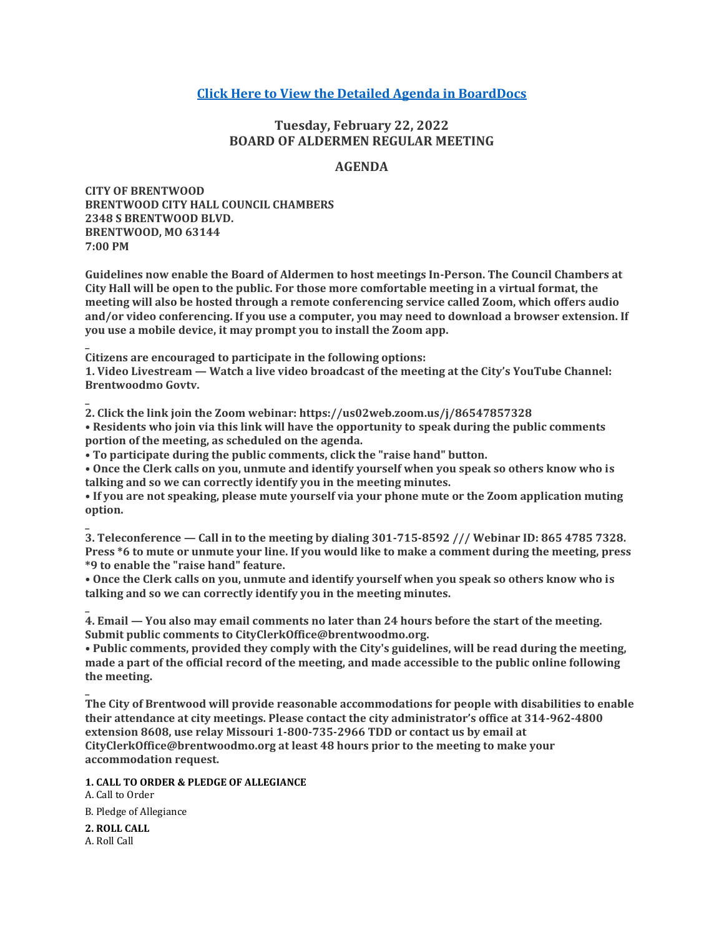# **[Click Here to View the Detailed Agenda in BoardDocs](http://go.boarddocs.com/mo/cob/Board.nsf/goto?open&id=C9WRUM6F670E)**

# **Tuesday, February 22, 2022 BOARD OF ALDERMEN REGULAR MEETING**

# **AGENDA**

**CITY OF BRENTWOOD BRENTWOOD CITY HALL COUNCIL CHAMBERS 2348 S BRENTWOOD BLVD. BRENTWOOD, MO 63144 7:00 PM**

**Guidelines now enable the Board of Aldermen to host meetings In-Person. The Council Chambers at City Hall will be open to the public. For those more comfortable meeting in a virtual format, the meeting will also be hosted through a remote conferencing service called Zoom, which offers audio and/or video conferencing. If you use a computer, you may need to download a browser extension. If you use a mobile device, it may prompt you to install the Zoom app.**

**Citizens are encouraged to participate in the following options:**

**1. Video Livestream — Watch a live video broadcast of the meeting at the City's YouTube Channel: Brentwoodmo Govtv.**

**2. Click the link join the Zoom webinar: https://us02web.zoom.us/j/86547857328 • Residents who join via this link will have the opportunity to speak during the public comments portion of the meeting, as scheduled on the agenda.**

**• To participate during the public comments, click the "raise hand" button.**

**• Once the Clerk calls on you, unmute and identify yourself when you speak so others know who is talking and so we can correctly identify you in the meeting minutes.**

**• If you are not speaking, please mute yourself via your phone mute or the Zoom application muting option.**

**\_ 3. Teleconference — Call in to the meeting by dialing 301-715-8592 /// Webinar ID: 865 4785 7328. Press \*6 to mute or unmute your line. If you would like to make a comment during the meeting, press \*9 to enable the "raise hand" feature.**

**• Once the Clerk calls on you, unmute and identify yourself when you speak so others know who is talking and so we can correctly identify you in the meeting minutes.**

**\_ 4. Email — You also may email comments no later than 24 hours before the start of the meeting. Submit public comments to CityClerkOffice@brentwoodmo.org.**

**• Public comments, provided they comply with the City's guidelines, will be read during the meeting, made a part of the official record of the meeting, and made accessible to the public online following the meeting. \_**

**The City of Brentwood will provide reasonable accommodations for people with disabilities to enable their attendance at city meetings. Please contact the city administrator's office at 314-962-4800 extension 8608, use relay Missouri 1-800-735-2966 TDD or contact us by email at CityClerkOffice@brentwoodmo.org at least 48 hours prior to the meeting to make your accommodation request.**

**1. CALL TO ORDER & PLEDGE OF ALLEGIANCE**

A. Call to Order B. Pledge of Allegiance

**2. ROLL CALL** A. Roll Call

**\_**

**\_**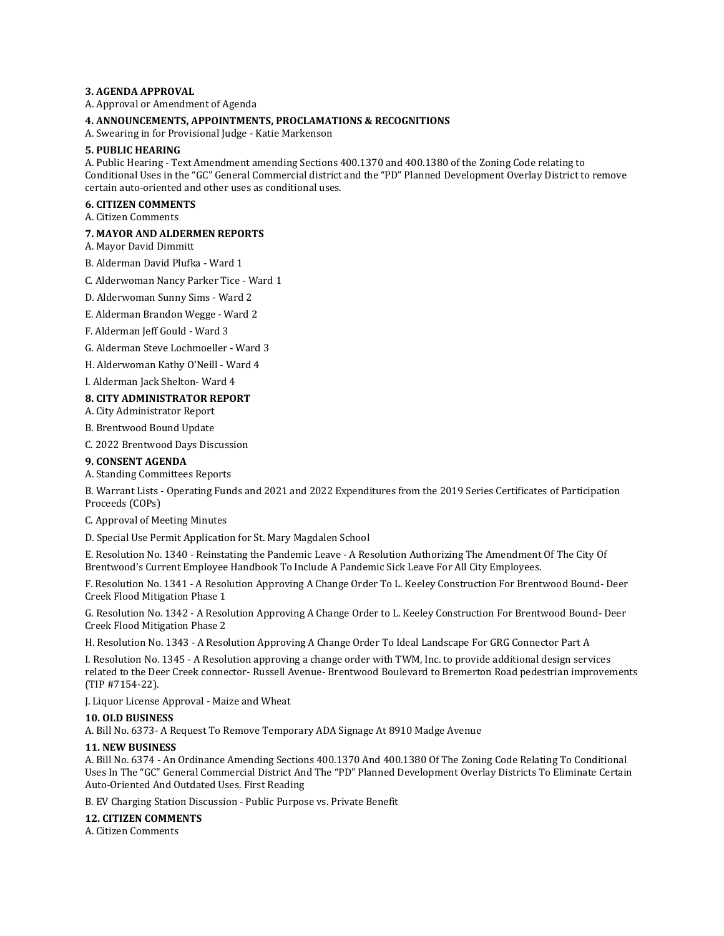## **3. AGENDA APPROVAL**

A. Approval or Amendment of Agenda

# **4. ANNOUNCEMENTS, APPOINTMENTS, PROCLAMATIONS & RECOGNITIONS**

A. Swearing in for Provisional Judge - Katie Markenson

### **5. PUBLIC HEARING**

A. Public Hearing - Text Amendment amending Sections 400.1370 and 400.1380 of the Zoning Code relating to Conditional Uses in the "GC" General Commercial district and the "PD" Planned Development Overlay District to remove certain auto-oriented and other uses as conditional uses.

# **6. CITIZEN COMMENTS**

A. Citizen Comments

#### **7. MAYOR AND ALDERMEN REPORTS**

A. Mayor David Dimmitt

B. Alderman David Plufka - Ward 1

C. Alderwoman Nancy Parker Tice - Ward 1

D. Alderwoman Sunny Sims - Ward 2

E. Alderman Brandon Wegge - Ward 2

F. Alderman Jeff Gould - Ward 3

G. Alderman Steve Lochmoeller - Ward 3

H. Alderwoman Kathy O'Neill - Ward 4

I. Alderman Jack Shelton- Ward 4

#### **8. CITY ADMINISTRATOR REPORT**

A. City Administrator Report

B. Brentwood Bound Update

C. 2022 Brentwood Days Discussion

#### **9. CONSENT AGENDA**

A. Standing Committees Reports

B. Warrant Lists - Operating Funds and 2021 and 2022 Expenditures from the 2019 Series Certificates of Participation Proceeds (COPs)

C. Approval of Meeting Minutes

D. Special Use Permit Application for St. Mary Magdalen School

E. Resolution No. 1340 - Reinstating the Pandemic Leave - A Resolution Authorizing The Amendment Of The City Of Brentwood's Current Employee Handbook To Include A Pandemic Sick Leave For All City Employees.

F. Resolution No. 1341 - A Resolution Approving A Change Order To L. Keeley Construction For Brentwood Bound- Deer Creek Flood Mitigation Phase 1

G. Resolution No. 1342 - A Resolution Approving A Change Order to L. Keeley Construction For Brentwood Bound- Deer Creek Flood Mitigation Phase 2

H. Resolution No. 1343 - A Resolution Approving A Change Order To Ideal Landscape For GRG Connector Part A

I. Resolution No. 1345 - A Resolution approving a change order with TWM, Inc. to provide additional design services related to the Deer Creek connector- Russell Avenue- Brentwood Boulevard to Bremerton Road pedestrian improvements (TIP #7154-22).

J. Liquor License Approval - Maize and Wheat

#### **10. OLD BUSINESS**

A. Bill No. 6373- A Request To Remove Temporary ADA Signage At 8910 Madge Avenue

#### **11. NEW BUSINESS**

A. Bill No. 6374 - An Ordinance Amending Sections 400.1370 And 400.1380 Of The Zoning Code Relating To Conditional Uses In The "GC" General Commercial District And The "PD" Planned Development Overlay Districts To Eliminate Certain Auto-Oriented And Outdated Uses. First Reading

B. EV Charging Station Discussion - Public Purpose vs. Private Benefit

# **12. CITIZEN COMMENTS**

A. Citizen Comments